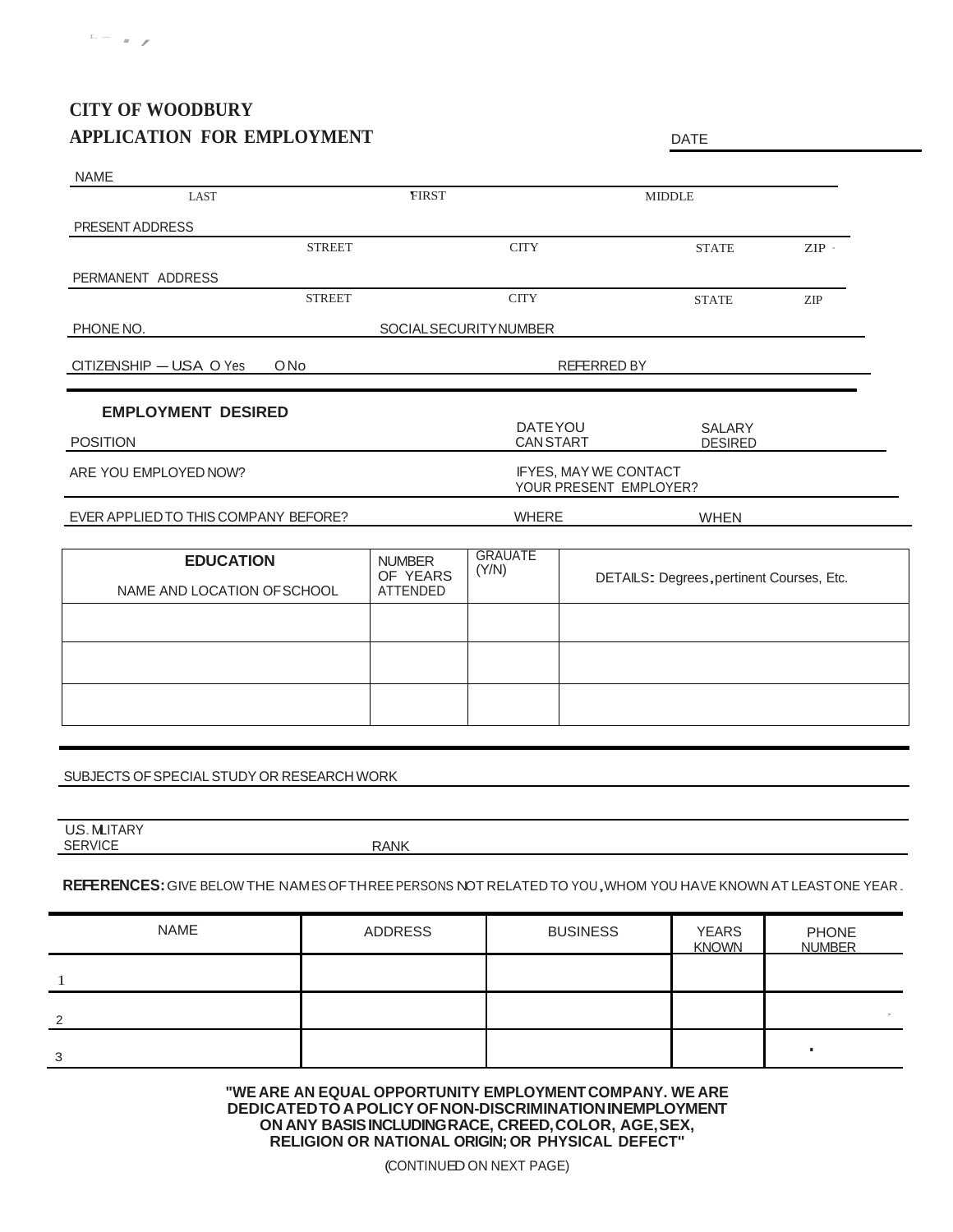## **CITY OF WOODBURY APPLICATION FOR EMPLOYMENT** DATE

| LAST                                            | <b>FIRST</b>                                    |                              | <b>MIDDLE</b>                             |         |
|-------------------------------------------------|-------------------------------------------------|------------------------------|-------------------------------------------|---------|
| PRESENT ADDRESS                                 |                                                 |                              |                                           |         |
| <b>STREET</b>                                   |                                                 | <b>CITY</b>                  | <b>STATE</b>                              | $ZIP$ . |
| PERMANENT ADDRESS                               |                                                 |                              |                                           |         |
| <b>STREET</b>                                   |                                                 | <b>CITY</b>                  | <b>STATE</b>                              | ZIP     |
| PHONE NO.                                       |                                                 | <b>SOCIALSECURITYNUMBER</b>  |                                           |         |
| CITIZENSHIP - USA O Yes<br>ONo                  | REFERRED BY                                     |                              |                                           |         |
| <b>EMPLOYMENT DESIRED</b>                       |                                                 |                              |                                           |         |
| <b>POSITION</b>                                 |                                                 | DATE YOU<br><b>CAN START</b> | SALARY<br><b>DESIRED</b>                  |         |
| ARE YOU EMPLOYED NOW?                           | IFYES, MAY WE CONTACT<br>YOUR PRESENT EMPLOYER? |                              |                                           |         |
| EVER APPLIED TO THIS COMPANY BEFORE?            | <b>WHERE</b><br><b>WHEN</b>                     |                              |                                           |         |
| <b>EDUCATION</b><br>NAME AND LOCATION OF SCHOOL | <b>NUMBER</b><br>OF YEARS<br><b>ATTENDED</b>    | <b>GRAUATE</b><br>(Y/N)      | DETAILS: Degrees, pertinent Courses, Etc. |         |
|                                                 |                                                 |                              |                                           |         |
|                                                 |                                                 |                              |                                           |         |
|                                                 |                                                 |                              |                                           |         |
|                                                 |                                                 |                              |                                           |         |

U.S. MLITARY SERVICE RANK

## **REFERENCES:**GIVE BELOW THE NAMESOFTHREEPERSONS NOT RELATEDTO YOU,WHOM YOU HAVE KNOWN AT LEASTONE YEAR.

| <b>NAME</b>   | ADDRESS | <b>BUSINESS</b> | <b>YEARS</b><br><b>KNOWN</b> | <b>PHONE</b><br><b>NUMBER</b> |
|---------------|---------|-----------------|------------------------------|-------------------------------|
|               |         |                 |                              |                               |
| $\mathcal{D}$ |         |                 |                              |                               |
| 3             |         |                 |                              |                               |

**"WE ARE AN EQUAL OPPORTUNITY EMPLOYMENT COMPANY. WE ARE DEDICATEDTOAPOLICY OFNON-DISCRIMINATIONINEMPLOYMENT ON ANY BASISINCLUDINGRACE, CREED,COLOR, AGE,SEX, RELIGION OR NATIONAL ORIGIN; OR PHYSICAL DEFECT''**

(CONTINUEDON NEXT PAGE)